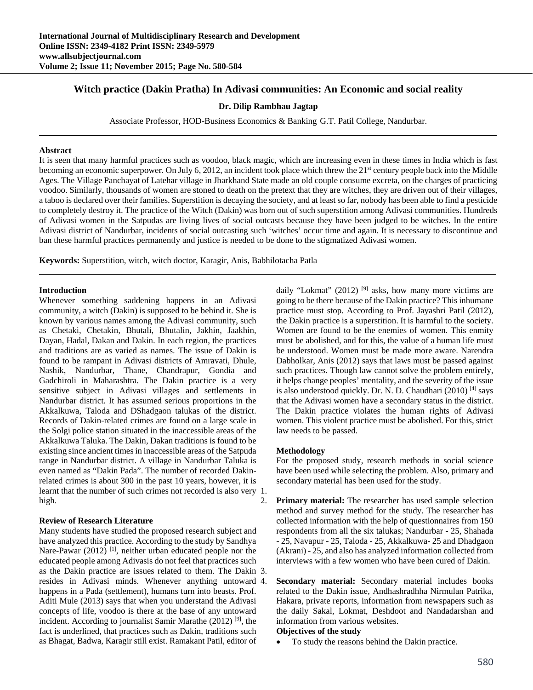# **Witch practice (Dakin Pratha) In Adivasi communities: An Economic and social reality**

### **Dr. Dilip Rambhau Jagtap**

Associate Professor, HOD-Business Economics & Banking G.T. Patil College, Nandurbar.

### **Abstract**

It is seen that many harmful practices such as voodoo, black magic, which are increasing even in these times in India which is fast becoming an economic superpower. On July 6, 2012, an incident took place which threw the 21<sup>st</sup> century people back into the Middle Ages. The Village Panchayat of Latehar village in Jharkhand State made an old couple consume excreta, on the charges of practicing voodoo. Similarly, thousands of women are stoned to death on the pretext that they are witches, they are driven out of their villages, a taboo is declared over their families. Superstition is decaying the society, and at least so far, nobody has been able to find a pesticide to completely destroy it. The practice of the Witch (Dakin) was born out of such superstition among Adivasi communities. Hundreds of Adivasi women in the Satpudas are living lives of social outcasts because they have been judged to be witches. In the entire Adivasi district of Nandurbar, incidents of social outcasting such 'witches' occur time and again. It is necessary to discontinue and ban these harmful practices permanently and justice is needed to be done to the stigmatized Adivasi women.

**Keywords:** Superstition, witch, witch doctor, Karagir, Anis, Babhilotacha Patla

#### **Introduction**

Whenever something saddening happens in an Adivasi community, a witch (Dakin) is supposed to be behind it. She is known by various names among the Adivasi community, such as Chetaki, Chetakin, Bhutali, Bhutalin, Jakhin, Jaakhin, Dayan, Hadal, Dakan and Dakin. In each region, the practices and traditions are as varied as names. The issue of Dakin is found to be rampant in Adivasi districts of Amravati, Dhule, Nashik, Nandurbar, Thane, Chandrapur, Gondia and Gadchiroli in Maharashtra. The Dakin practice is a very sensitive subject in Adivasi villages and settlements in Nandurbar district. It has assumed serious proportions in the Akkalkuwa, Taloda and DShadgaon talukas of the district. Records of Dakin-related crimes are found on a large scale in the Solgi police station situated in the inaccessible areas of the Akkalkuwa Taluka. The Dakin, Dakan traditions is found to be existing since ancient times in inaccessible areas of the Satpuda range in Nandurbar district. A village in Nandurbar Taluka is even named as "Dakin Pada". The number of recorded Dakinrelated crimes is about 300 in the past 10 years, however, it is learnt that the number of such crimes not recorded is also very 1. high.

## **Review of Research Literature**

Many students have studied the proposed research subject and have analyzed this practice. According to the study by Sandhya Nare-Pawar (2012)<sup>[1]</sup>, neither urban educated people nor the educated people among Adivasis do not feel that practices such as the Dakin practice are issues related to them. The Dakin 3. resides in Adivasi minds. Whenever anything untoward happens in a Pada (settlement), humans turn into beasts. Prof. Aditi Mule (2013) says that when you understand the Adivasi concepts of life, voodoo is there at the base of any untoward incident. According to journalist Samir Marathe  $(2012)$  [9], the fact is underlined, that practices such as Dakin, traditions such as Bhagat, Badwa, Karagir still exist. Ramakant Patil, editor of

daily "Lokmat" (2012)  $[9]$  asks, how many more victims are going to be there because of the Dakin practice? This inhumane practice must stop. According to Prof. Jayashri Patil (2012), the Dakin practice is a superstition. It is harmful to the society. Women are found to be the enemies of women. This enmity must be abolished, and for this, the value of a human life must be understood. Women must be made more aware. Narendra Dabholkar, Anis (2012) says that laws must be passed against such practices. Though law cannot solve the problem entirely, it helps change peoples' mentality, and the severity of the issue is also understood quickly. Dr. N. D. Chaudhari (2010) [4] says that the Adivasi women have a secondary status in the district. The Dakin practice violates the human rights of Adivasi women. This violent practice must be abolished. For this, strict law needs to be passed.

## **Methodology**

For the proposed study, research methods in social science have been used while selecting the problem. Also, primary and secondary material has been used for the study.

2. **Primary material:** The researcher has used sample selection method and survey method for the study. The researcher has collected information with the help of questionnaires from 150 respondents from all the six talukas; Nandurbar - 25, Shahada - 25, Navapur - 25, Taloda - 25, Akkalkuwa- 25 and Dhadgaon (Akrani) - 25, and also has analyzed information collected from interviews with a few women who have been cured of Dakin.

**Secondary material:** Secondary material includes books related to the Dakin issue, Andhashradhha Nirmulan Patrika, Hakara, private reports, information from newspapers such as the daily Sakal, Lokmat, Deshdoot and Nandadarshan and information from various websites.

#### **Objectives of the study**

To study the reasons behind the Dakin practice.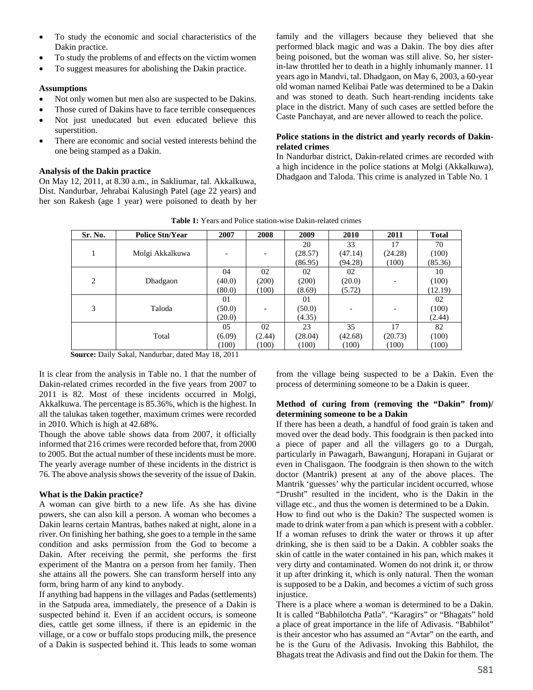- To study the economic and social characteristics of the Dakin practice.
- To study the problems of and effects on the victim women
- To suggest measures for abolishing the Dakin practice.

### **Assumptions**

- Not only women but men also are suspected to be Dakins.
- Those cured of Dakins have to face terrible consequences
- Not just uneducated but even educated believe this superstition.
- There are economic and social vested interests behind the one being stamped as a Dakin.

## **Analysis of the Dakin practice**

On May 12, 2011, at 8.30 a.m., in Sakliumar, tal. Akkalkuwa, Dist. Nandurbar, Jehrabai Kalusingh Patel (age 22 years) and her son Rakesh (age 1 year) were poisoned to death by her family and the villagers because they believed that she performed black magic and was a Dakin. The boy dies after being poisoned, but the woman was still alive. So, her sisterin-law throttled her to death in a highly inhumanly manner. 11 years ago in Mandvi, tal. Dhadgaon, on May 6, 2003, a 60-year old woman named Kelibai Patle was determined to be a Dakin and was stoned to death. Such heart-rending incidents take place in the district. Many of such cases are settled before the Caste Panchayat, and are never allowed to reach the police.

## **Police stations in the district and yearly records of Dakinrelated crimes**

In Nandurbar district, Dakin-related crimes are recorded with a high incidence in the police stations at Molgi (Akkalkuwa), Dhadgaon and Taloda. This crime is analyzed in Table No. 1

| Sr. No.                            | <b>Police Stn/Year</b> | 2007   | 2008   | 2009    | 2010    | 2011    | <b>Total</b> |
|------------------------------------|------------------------|--------|--------|---------|---------|---------|--------------|
|                                    |                        |        |        | 20      | 33      | 17      | 70           |
|                                    | Molgi Akkalkuwa        |        |        | (28.57) | (47.14) | (24.28) | (100)        |
|                                    |                        |        |        | (86.95) | (94.28) | (100)   | (85.36)      |
|                                    |                        | 04     | 02     | 02      | 02      |         | 10           |
| 2                                  | Dhadgaon               | (40.0) | (200)  | (200)   | (20.0)  |         | (100)        |
|                                    |                        | (80.0) | (100)  | (8.69)  | (5.72)  |         | (12.19)      |
|                                    |                        | 01     |        | 01      |         |         | 02           |
| 3                                  | Taloda                 | (50.0) |        | (50.0)  |         |         | (100)        |
|                                    |                        | (20.0) |        | (4.35)  |         |         | (2.44)       |
|                                    |                        | 05     | 02     | 23      | 35      | 17      | 82           |
|                                    | Total                  | (6.09) | (2.44) | (28.04) | (42.68) | (20.73) | (100)        |
|                                    |                        | (100)  | (100)  | (100)   | (100)   | (100)   | (100)        |
| $\sim$<br>$\sim$ $\cdot$<br>10.011 |                        |        |        |         |         |         |              |

**Source:** Daily Sakal, Nandurbar, dated May 18, 2011

It is clear from the analysis in Table no. 1 that the number of Dakin-related crimes recorded in the five years from 2007 to 2011 is 82. Most of these incidents occurred in Molgi, Akkalkuwa. The percentage is 85.36%, which is the highest. In all the talukas taken together, maximum crimes were recorded in 2010. Which is high at 42.68%.

Though the above table shows data from 2007, it officially informed that 216 crimes were recorded before that, from 2000 to 2005. But the actual number of these incidents must be more. The yearly average number of these incidents in the district is 76. The above analysis shows the severity of the issue of Dakin.

## **What is the Dakin practice?**

A woman can give birth to a new life. As she has divine powers, she can also kill a person. A woman who becomes a Dakin learns certain Mantras, bathes naked at night, alone in a river. On finishing her bathing, she goes to a temple in the same condition and asks permission from the God to become a Dakin. After receiving the permit, she performs the first experiment of the Mantra on a person from her family. Then she attains all the powers. She can transform herself into any form, bring harm of any kind to anybody.

If anything bad happens in the villages and Padas (settlements) in the Satpuda area, immediately, the presence of a Dakin is suspected behind it. Even if an accident occurs, is someone dies, cattle get some illness, if there is an epidemic in the village, or a cow or buffalo stops producing milk, the presence of a Dakin is suspected behind it. This leads to some woman from the village being suspected to be a Dakin. Even the process of determining someone to be a Dakin is queer.

### **Method of curing from (removing the "Dakin" from)/ determining someone to be a Dakin**

If there has been a death, a handful of food grain is taken and moved over the dead body. This foodgrain is then packed into a piece of paper and all the villagers go to a Durgah, particularly in Pawagarh, Bawangunj, Horapani in Gujarat or even in Chalisgaon. The foodgrain is then shown to the witch doctor (Mantrik) present at any of the above places. The Mantrik 'guesses' why the particular incident occurred, whose "Drusht" resulted in the incident, who is the Dakin in the village etc., and thus the women is determined to be a Dakin.

How to find out who is the Dakin? The suspected women is made to drink water from a pan which is present with a cobbler. If a woman refuses to drink the water or throws it up after drinking, she is then said to be a Dakin. A cobbler soaks the skin of cattle in the water contained in his pan, which makes it very dirty and contaminated. Women do not drink it, or throw it up after drinking it, which is only natural. Then the woman is supposed to be a Dakin, and becomes a victim of such gross injustice.

There is a place where a woman is determined to be a Dakin. It is called "Babhilotcha Patla". "Karagirs" or "Bhagats" hold a place of great importance in the life of Adivasis. "Babhilot" is their ancestor who has assumed an "Avtar" on the earth, and he is the Guru of the Adivasis. Invoking this Babhilot, the Bhagats treat the Adivasis and find out the Dakin for them. The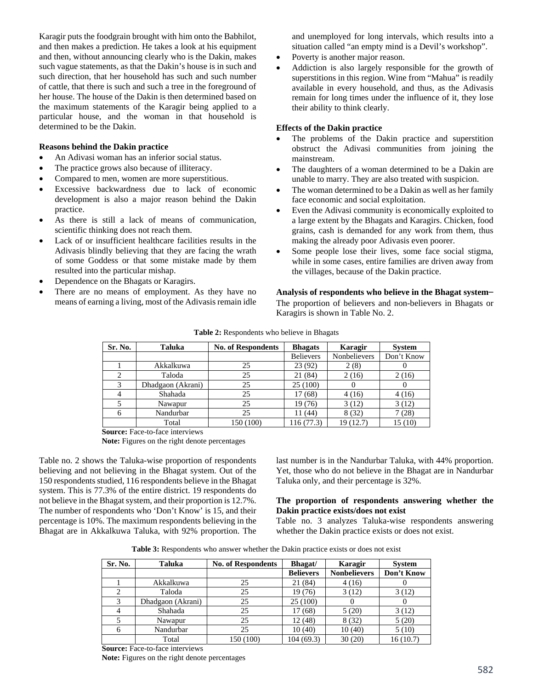Karagir puts the foodgrain brought with him onto the Babhilot, and then makes a prediction. He takes a look at his equipment and then, without announcing clearly who is the Dakin, makes such vague statements, as that the Dakin's house is in such and such direction, that her household has such and such number of cattle, that there is such and such a tree in the foreground of her house. The house of the Dakin is then determined based on the maximum statements of the Karagir being applied to a particular house, and the woman in that household is determined to be the Dakin.

#### **Reasons behind the Dakin practice**

- An Adivasi woman has an inferior social status.
- The practice grows also because of illiteracy.
- Compared to men, women are more superstitious.
- Excessive backwardness due to lack of economic development is also a major reason behind the Dakin practice.
- As there is still a lack of means of communication, scientific thinking does not reach them.
- Lack of or insufficient healthcare facilities results in the Adivasis blindly believing that they are facing the wrath of some Goddess or that some mistake made by them resulted into the particular mishap.
- Dependence on the Bhagats or Karagirs.
- There are no means of employment. As they have no means of earning a living, most of the Adivasis remain idle

and unemployed for long intervals, which results into a situation called "an empty mind is a Devil's workshop".

- Poverty is another major reason.
- Addiction is also largely responsible for the growth of superstitions in this region. Wine from "Mahua" is readily available in every household, and thus, as the Adivasis remain for long times under the influence of it, they lose their ability to think clearly.

### **Effects of the Dakin practice**

- The problems of the Dakin practice and superstition obstruct the Adivasi communities from joining the mainstream.
- The daughters of a woman determined to be a Dakin are unable to marry. They are also treated with suspicion.
- The woman determined to be a Dakin as well as her family face economic and social exploitation.
- Even the Adivasi community is economically exploited to a large extent by the Bhagats and Karagirs. Chicken, food grains, cash is demanded for any work from them, thus making the already poor Adivasis even poorer.
- Some people lose their lives, some face social stigma, while in some cases, entire families are driven away from the villages, because of the Dakin practice.

**Analysis of respondents who believe in the Bhagat system**– The proportion of believers and non-believers in Bhagats or Karagirs is shown in Table No. 2.

| Sr. No. | Taluka            | <b>No. of Respondents</b> | <b>Bhagats</b>   | Karagir      | <b>System</b> |
|---------|-------------------|---------------------------|------------------|--------------|---------------|
|         |                   |                           | <b>Believers</b> | Nonbelievers | Don't Know    |
|         | Akkalkuwa         | 25                        | 23(92)           | 2(8)         |               |
|         | Taloda            | 25                        | 21 (84)          | 2(16)        | 2(16)         |
|         | Dhadgaon (Akrani) | 25                        | 25(100)          |              |               |
|         | Shahada           | 25                        | 17 (68)          | 4(16)        | 4(16)         |
|         | Nawapur           | 25                        | 19 (76)          | 3(12)        | 3(12)         |
| 6       | Nandurbar         | 25                        | 11 (44)          | 8(32)        | 7(28)         |
|         | Total             | 150 (100)                 | 116 (77.3)       | 19(12.7)     | 15(10)        |

#### **Table 2:** Respondents who believe in Bhagats

**Source:** Face-to-face interviews

**Note:** Figures on the right denote percentages

Table no. 2 shows the Taluka-wise proportion of respondents believing and not believing in the Bhagat system. Out of the 150 respondents studied, 116 respondents believe in the Bhagat system. This is 77.3% of the entire district. 19 respondents do not believe in the Bhagat system, and their proportion is 12.7%. The number of respondents who 'Don't Know' is 15, and their percentage is 10%. The maximum respondents believing in the Bhagat are in Akkalkuwa Taluka, with 92% proportion. The

last number is in the Nandurbar Taluka, with 44% proportion. Yet, those who do not believe in the Bhagat are in Nandurbar Taluka only, and their percentage is 32%.

#### **The proportion of respondents answering whether the Dakin practice exists/does not exist**

Table no. 3 analyzes Taluka-wise respondents answering whether the Dakin practice exists or does not exist.

**Table 3:** Respondents who answer whether the Dakin practice exists or does not exist

| Sr. No. | Taluka            | <b>No. of Respondents</b> | <b>Bhagat</b> /  | Karagir             | <b>System</b> |
|---------|-------------------|---------------------------|------------------|---------------------|---------------|
|         |                   |                           | <b>Believers</b> | <b>Nonbelievers</b> | Don't Know    |
|         | Akkalkuwa         | 25                        | 21 (84)          | 4(16)               |               |
|         | Taloda            | 25                        | 19(76)           | 3(12)               | 3(12)         |
| 3       | Dhadgaon (Akrani) | 25                        | 25 (100)         |                     |               |
| 4       | Shahada           | 25                        | 17(68)           | 5(20)               | 3(12)         |
|         | Nawapur           | 25                        | 12(48)           | 8(32)               | 5(20)         |
| 6       | Nandurbar         | 25                        | 10(40)           | 10(40)              | 5(10)         |
|         | Total             | 150 (100)                 | 104 (69.3)       | 30(20)              | 16(10.7)      |

**Source:** Face-to-face interviews **Note:** Figures on the right denote percentages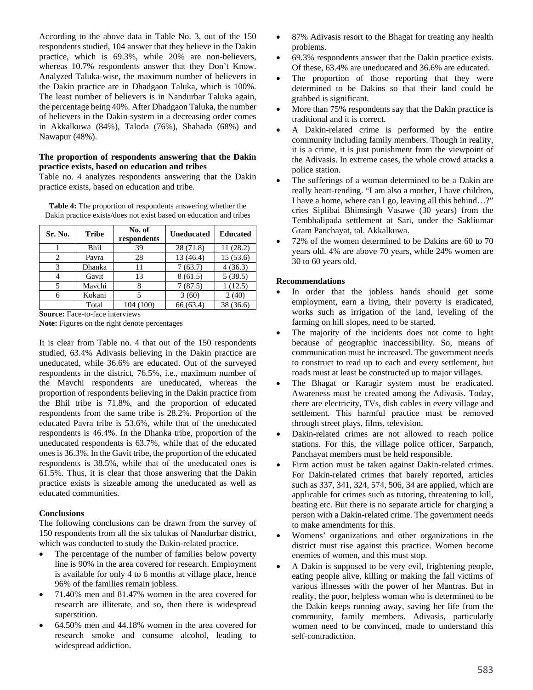According to the above data in Table No. 3, out of the 150 respondents studied, 104 answer that they believe in the Dakin practice, which is 69.3%, while 20% are non-believers, whereas 10.7% respondents answer that they Don't Know. Analyzed Taluka-wise, the maximum number of believers in the Dakin practice are in Dhadgaon Taluka, which is 100%. The least number of believers is in Nandurbar Taluka again, the percentage being 40%. After Dhadgaon Taluka, the number of believers in the Dakin system in a decreasing order comes in Akkalkuwa (84%), Taloda (76%), Shahada (68%) and Nawapur (48%).

### **The proportion of respondents answering that the Dakin practice exists, based on education and tribes**

Table no. 4 analyzes respondents answering that the Dakin practice exists, based on education and tribe.

| Sr. No. | <b>Tribe</b> | No. of<br>respondents | <b>Uneducated</b> | <b>Educated</b> |
|---------|--------------|-----------------------|-------------------|-----------------|
|         | Bhil         | 39                    | 28(71.8)          | 11(28.2)        |
| 2       | Pavra        | 28                    | 13 (46.4)         | 15(53.6)        |
| 3       | Dhanka       | 11                    | 7(63.7)           | 4(36.3)         |
|         | Gavit        | 13                    | 8(61.5)           | 5(38.5)         |
|         | Mavchi       |                       | 7(87.5)           | 1(12.5)         |
| 6       | Kokani       |                       | 3(60)             | 2(40)           |
|         | Total        | 104 (100)             | 66 (63.4)         | 38 (36.6)       |

**Table 4:** The proportion of respondents answering whether the Dakin practice exists/does not exist based on education and tribes

**Source:** Face-to-face interviews

**Note:** Figures on the right denote percentages

It is clear from Table no. 4 that out of the 150 respondents studied, 63.4% Adivasis believing in the Dakin practice are uneducated, while 36.6% are educated. Out of the surveyed respondents in the district, 76.5%, i.e., maximum number of the Mavchi respondents are uneducated, whereas the proportion of respondents believing in the Dakin practice from the Bhil tribe is 71.8%, and the proportion of educated respondents from the same tribe is 28.2%. Proportion of the educated Pavra tribe is 53.6%, while that of the uneducated respondents is 46.4%. In the Dhanka tribe, proportion of the uneducated respondents is 63.7%, while that of the educated ones is 36.3%. In the Gavit tribe, the proportion of the educated respondents is 38.5%, while that of the uneducated ones is 61.5%. Thus, it is clear that those answering that the Dakin practice exists is sizeable among the uneducated as well as educated communities.

#### **Conclusions**

The following conclusions can be drawn from the survey of 150 respondents from all the six talukas of Nandurbar district, which was conducted to study the Dakin-related practice.

- The percentage of the number of families below poverty line is 90% in the area covered for research. Employment is available for only 4 to 6 months at village place, hence 96% of the families remain jobless.
- 71.40% men and 81.47% women in the area covered for research are illiterate, and so, then there is widespread superstition.
- 64.50% men and 44.18% women in the area covered for research smoke and consume alcohol, leading to widespread addiction.
- 87% Adivasis resort to the Bhagat for treating any health problems.
- 69.3% respondents answer that the Dakin practice exists. Of these, 63.4% are uneducated and 36.6% are educated.
- The proportion of those reporting that they were determined to be Dakins so that their land could be grabbed is significant.
- More than 75% respondents say that the Dakin practice is traditional and it is correct.
- A Dakin-related crime is performed by the entire community including family members. Though in reality, it is a crime, it is just punishment from the viewpoint of the Adivasis. In extreme cases, the whole crowd attacks a police station.
- The sufferings of a woman determined to be a Dakin are really heart-rending. "I am also a mother, I have children, I have a home, where can I go, leaving all this behind…?" cries Siplibai Bhimsingh Vasawe (30 years) from the Tembhalipada settlement at Sari, under the Sakliumar Gram Panchayat, tal. Akkalkuwa.
- 72% of the women determined to be Dakins are 60 to 70 years old. 4% are above 70 years, while 24% women are 30 to 60 years old.

### **Recommendations**

- In order that the jobless hands should get some employment, earn a living, their poverty is eradicated, works such as irrigation of the land, leveling of the farming on hill slopes, need to be started.
- The majority of the incidents does not come to light because of geographic inaccessibility. So, means of communication must be increased. The government needs to construct to read up to each and every settlement, but roads must at least be constructed up to major villages.
- The Bhagat or Karagir system must be eradicated. Awareness must be created among the Adivasis. Today, there are electricity, TVs, dish cables in every village and settlement. This harmful practice must be removed through street plays, films, television.
- Dakin-related crimes are not allowed to reach police stations. For this, the village police officer, Sarpanch, Panchayat members must be held responsible.
- Firm action must be taken against Dakin-related crimes. For Dakin-related crimes that barely reported, articles such as 337, 341, 324, 574, 506, 34 are applied, which are applicable for crimes such as tutoring, threatening to kill, beating etc. But there is no separate article for charging a person with a Dakin-related crime. The government needs to make amendments for this.
- Womens' organizations and other organizations in the district must rise against this practice. Women become enemies of women, and this must stop.
- A Dakin is supposed to be very evil, frightening people, eating people alive, killing or making the fall victims of various illnesses with the power of her Mantras. But in reality, the poor, helpless woman who is determined to be the Dakin keeps running away, saving her life from the community, family members. Adivasis, particularly women need to be convinced, made to understand this self-contradiction.